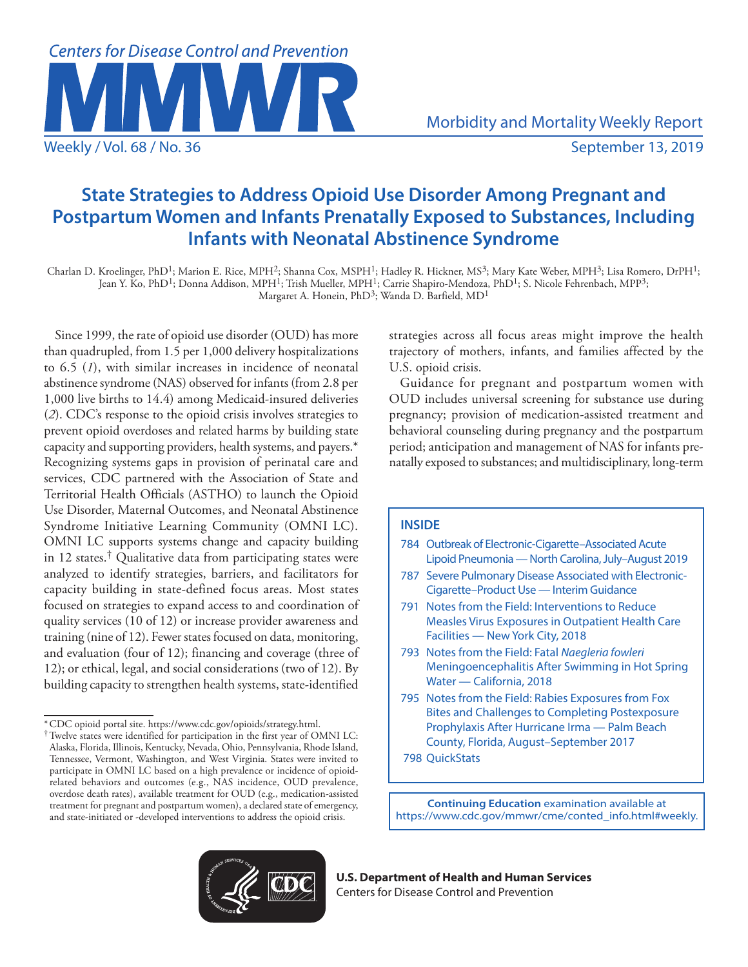

# **State Strategies to Address Opioid Use Disorder Among Pregnant and Postpartum Women and Infants Prenatally Exposed to Substances, Including Infants with Neonatal Abstinence Syndrome**

Charlan D. Kroelinger, PhD<sup>1</sup>; Marion E. Rice, MPH<sup>2</sup>; Shanna Cox, MSPH<sup>1</sup>; Hadley R. Hickner, MS<sup>3</sup>; Mary Kate Weber, MPH<sup>3</sup>; Lisa Romero, DrPH<sup>1</sup>; Jean Y. Ko, PhD1; Donna Addison, MPH1; Trish Mueller, MPH1; Carrie Shapiro-Mendoza, PhD1; S. Nicole Fehrenbach, MPP3; Margaret A. Honein, PhD<sup>3</sup>; Wanda D. Barfield, MD<sup>1</sup>

Since 1999, the rate of opioid use disorder (OUD) has more than quadrupled, from 1.5 per 1,000 delivery hospitalizations to 6.5 (*1*), with similar increases in incidence of neonatal abstinence syndrome (NAS) observed for infants (from 2.8 per 1,000 live births to 14.4) among Medicaid-insured deliveries (*2*). CDC's response to the opioid crisis involves strategies to prevent opioid overdoses and related harms by building state capacity and supporting providers, health systems, and payers.\* Recognizing systems gaps in provision of perinatal care and services, CDC partnered with the Association of State and Territorial Health Officials (ASTHO) to launch the Opioid Use Disorder, Maternal Outcomes, and Neonatal Abstinence Syndrome Initiative Learning Community (OMNI LC). OMNI LC supports systems change and capacity building in 12 states.<sup>†</sup> Qualitative data from participating states were analyzed to identify strategies, barriers, and facilitators for capacity building in state-defined focus areas. Most states focused on strategies to expand access to and coordination of quality services (10 of 12) or increase provider awareness and training (nine of 12). Fewer states focused on data, monitoring, and evaluation (four of 12); financing and coverage (three of 12); or ethical, legal, and social considerations (two of 12). By building capacity to strengthen health systems, state-identified

strategies across all focus areas might improve the health trajectory of mothers, infants, and families affected by the U.S. opioid crisis.

Guidance for pregnant and postpartum women with OUD includes universal screening for substance use during pregnancy; provision of medication-assisted treatment and behavioral counseling during pregnancy and the postpartum period; anticipation and management of NAS for infants prenatally exposed to substances; and multidisciplinary, long-term

# **INSIDE**

- 784 Outbreak of Electronic-Cigarette–Associated Acute Lipoid Pneumonia — North Carolina, July–August 2019
- 787 Severe Pulmonary Disease Associated with Electronic-Cigarette–Product Use — Interim Guidance
- 791 Notes from the Field: Interventions to Reduce Measles Virus Exposures in Outpatient Health Care Facilities — New York City, 2018
- 793 Notes from the Field: Fatal *Naegleria fowleri* Meningoencephalitis After Swimming in Hot Spring Water — California, 2018
- 795 Notes from the Field: Rabies Exposures from Fox Bites and Challenges to Completing Postexposure Prophylaxis After Hurricane Irma — Palm Beach County, Florida, August–September 2017
- 798 QuickStats

**Continuing Education** examination available at [https://www.cdc.gov/mmwr/cme/conted\\_info.html#weekly](https://www.cdc.gov/mmwr/cme/conted_info.html#weekly).



**U.S. Department of Health and Human Services** Centers for Disease Control and Prevention

<sup>\*</sup>CDC opioid portal site.<https://www.cdc.gov/opioids/strategy.html>. †Twelve states were identified for participation in the first year of OMNI LC: Alaska, Florida, Illinois, Kentucky, Nevada, Ohio, Pennsylvania, Rhode Island, Tennessee, Vermont, Washington, and West Virginia. States were invited to participate in OMNI LC based on a high prevalence or incidence of opioidrelated behaviors and outcomes (e.g., NAS incidence, OUD prevalence, overdose death rates), available treatment for OUD (e.g., medication-assisted treatment for pregnant and postpartum women), a declared state of emergency, and state-initiated or -developed interventions to address the opioid crisis.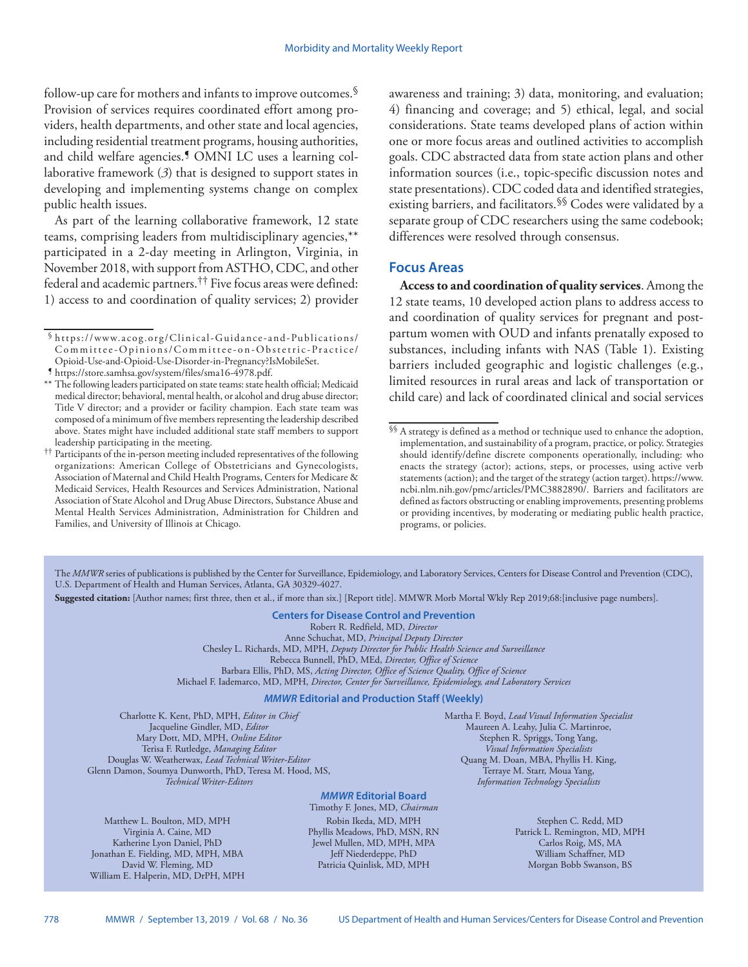follow-up care for mothers and infants to improve outcomes.§ Provision of services requires coordinated effort among providers, health departments, and other state and local agencies, including residential treatment programs, housing authorities, and child welfare agencies.<sup>5</sup> OMNI LC uses a learning collaborative framework (*3*) that is designed to support states in developing and implementing systems change on complex public health issues.

As part of the learning collaborative framework, 12 state teams, comprising leaders from multidisciplinary agencies,\*\* participated in a 2-day meeting in Arlington, Virginia, in November 2018, with support from ASTHO, CDC, and other federal and academic partners.†† Five focus areas were defined: 1) access to and coordination of quality services; 2) provider awareness and training; 3) data, monitoring, and evaluation; 4) financing and coverage; and 5) ethical, legal, and social considerations. State teams developed plans of action within one or more focus areas and outlined activities to accomplish goals. CDC abstracted data from state action plans and other information sources (i.e., topic-specific discussion notes and state presentations). CDC coded data and identified strategies, existing barriers, and facilitators.<sup>§§</sup> Codes were validated by a separate group of CDC researchers using the same codebook; differences were resolved through consensus.

# **Focus Areas**

**Access to and coordination of quality services**. Among the 12 state teams, 10 developed action plans to address access to and coordination of quality services for pregnant and postpartum women with OUD and infants prenatally exposed to substances, including infants with NAS (Table 1). Existing barriers included geographic and logistic challenges (e.g., limited resources in rural areas and lack of transportation or child care) and lack of coordinated clinical and social services

The *MMWR* series of publications is published by the Center for Surveillance, Epidemiology, and Laboratory Services, Centers for Disease Control and Prevention (CDC), U.S. Department of Health and Human Services, Atlanta, GA 30329-4027.

**Suggested citation:** [Author names; first three, then et al., if more than six.] [Report title]. MMWR Morb Mortal Wkly Rep 2019;68:[inclusive page numbers].

#### **Centers for Disease Control and Prevention**

Robert R. Redfield, MD, *Director*

Anne Schuchat, MD, *Principal Deputy Director* Chesley L. Richards, MD, MPH, *Deputy Director for Public Health Science and Surveillance*

Rebecca Bunnell, PhD, MEd, *Director, Office of Science*

Barbara Ellis, PhD, MS, *Acting Director, Office of Science Quality, Office of Science*

Michael F. Iademarco, MD, MPH, *Director, Center for Surveillance, Epidemiology, and Laboratory Services*

## *MMWR* **Editorial and Production Staff (Weekly)**

Charlotte K. Kent, PhD, MPH, *Editor in Chief* Jacqueline Gindler, MD, *Editor* Mary Dott, MD, MPH, *Online Editor* Terisa F. Rutledge, *Managing Editor* Douglas W. Weatherwax, *Lead Technical Writer-Editor* Glenn Damon, Soumya Dunworth, PhD, Teresa M. Hood, MS, *Technical Writer-Editors*

Matthew L. Boulton, MD, MPH Virginia A. Caine, MD Katherine Lyon Daniel, PhD Jonathan E. Fielding, MD, MPH, MBA David W. Fleming, MD William E. Halperin, MD, DrPH, MPH Martha F. Boyd, *Lead Visual Information Specialist* Maureen A. Leahy, Julia C. Martinroe, Stephen R. Spriggs, Tong Yang, *Visual Information Specialists* Quang M. Doan, MBA, Phyllis H. King, Terraye M. Starr, Moua Yang, *Information Technology Specialists*

## *MMWR* **Editorial Board**

Timothy F. Jones, MD, *Chairman* Robin Ikeda, MD, MPH Phyllis Meadows, PhD, MSN, RN Jewel Mullen, MD, MPH, MPA Jeff Niederdeppe, PhD Patricia Quinlisk, MD, MPH

Stephen C. Redd, MD Patrick L. Remington, MD, MPH Carlos Roig, MS, MA William Schaffner, MD Morgan Bobb Swanson, BS

<sup>§</sup> [https://www.acog.org/Clinical-Guidance-and-Publications/](https://www.acog.org/Clinical-Guidance-and-Publications/Committee-Opinions/Committee-on-Obstetric-Practice/Opioid-Use-and-Opioid-Use-Disorder-in-Pregnancy?IsMobileSet) [Committee-Opinions/Committee-on-Obstetric-Practice/](https://www.acog.org/Clinical-Guidance-and-Publications/Committee-Opinions/Committee-on-Obstetric-Practice/Opioid-Use-and-Opioid-Use-Disorder-in-Pregnancy?IsMobileSet)

 $9$ <https://store.samhsa.gov/system/files/sma16-4978.pdf>.

<sup>\*\*</sup> The following leaders participated on state teams: state health official; Medicaid medical director; behavioral, mental health, or alcohol and drug abuse director; Title V director; and a provider or facility champion. Each state team was composed of a minimum of five members representing the leadership described above. States might have included additional state staff members to support leadership participating in the meeting.

<sup>††</sup> Participants of the in-person meeting included representatives of the following organizations: American College of Obstetricians and Gynecologists, Association of Maternal and Child Health Programs, Centers for Medicare & Medicaid Services, Health Resources and Services Administration, National Association of State Alcohol and Drug Abuse Directors, Substance Abuse and Mental Health Services Administration, Administration for Children and Families, and University of Illinois at Chicago.

<sup>§§</sup> A strategy is defined as a method or technique used to enhance the adoption, implementation, and sustainability of a program, practice, or policy. Strategies should identify/define discrete components operationally, including: who enacts the strategy (actor); actions, steps, or processes, using active verb statements (action); and the target of the strategy (action target). [https://www.](https://www.ncbi.nlm.nih.gov/pmc/articles/PMC3882890/) [ncbi.nlm.nih.gov/pmc/articles/PMC3882890/](https://www.ncbi.nlm.nih.gov/pmc/articles/PMC3882890/). Barriers and facilitators are defined as factors obstructing or enabling improvements, presenting problems or providing incentives, by moderating or mediating public health practice, programs, or policies.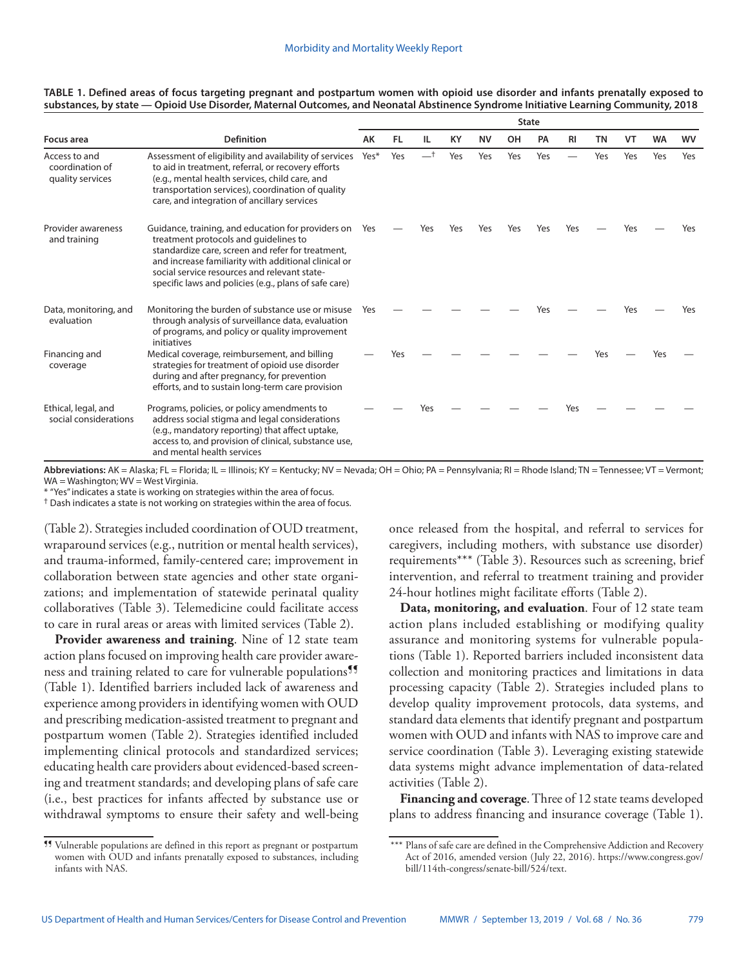|                                                      |                                                                                                                                                                                                                                                                                                                   | <b>State</b> |           |     |     |           |     |     |           |           |     |           |     |
|------------------------------------------------------|-------------------------------------------------------------------------------------------------------------------------------------------------------------------------------------------------------------------------------------------------------------------------------------------------------------------|--------------|-----------|-----|-----|-----------|-----|-----|-----------|-----------|-----|-----------|-----|
| Focus area                                           | <b>Definition</b>                                                                                                                                                                                                                                                                                                 | AK           | <b>FL</b> | IL  | KY  | <b>NV</b> | OH  | PA  | <b>RI</b> | <b>TN</b> | VT  | <b>WA</b> | wv  |
| Access to and<br>coordination of<br>quality services | Assessment of eligibility and availability of services<br>to aid in treatment, referral, or recovery efforts<br>(e.g., mental health services, child care, and<br>transportation services), coordination of quality<br>care, and integration of ancillary services                                                | Yes*         | Yes       |     | Yes | Yes       | Yes | Yes |           | Yes       | Yes | Yes       | Yes |
| Provider awareness<br>and training                   | Guidance, training, and education for providers on<br>treatment protocols and guidelines to<br>standardize care, screen and refer for treatment,<br>and increase familiarity with additional clinical or<br>social service resources and relevant state-<br>specific laws and policies (e.g., plans of safe care) | Yes          |           | Yes | Yes | Yes       | Yes | Yes | Yes       |           | Yes |           | Yes |
| Data, monitoring, and<br>evaluation                  | Monitoring the burden of substance use or misuse<br>through analysis of surveillance data, evaluation<br>of programs, and policy or quality improvement<br>initiatives                                                                                                                                            | Yes          |           |     |     |           |     |     |           |           | Υρς |           | Yes |
| Financing and<br>coverage                            | Medical coverage, reimbursement, and billing<br>strategies for treatment of opioid use disorder<br>during and after pregnancy, for prevention<br>efforts, and to sustain long-term care provision                                                                                                                 |              | Yes       |     |     |           |     |     |           | Yes       |     | Yes       |     |
| Ethical, legal, and<br>social considerations         | Programs, policies, or policy amendments to<br>address social stigma and legal considerations<br>(e.g., mandatory reporting) that affect uptake,<br>access to, and provision of clinical, substance use,<br>and mental health services                                                                            |              |           |     |     |           |     |     | Yes       |           |     |           |     |

#### **TABLE 1. Defined areas of focus targeting pregnant and postpartum women with opioid use disorder and infants prenatally exposed to substances, by state — Opioid Use Disorder, Maternal Outcomes, and Neonatal Abstinence Syndrome Initiative Learning Community, 2018**

**Abbreviations:** AK = Alaska; FL = Florida; IL = Illinois; KY = Kentucky; NV = Nevada; OH = Ohio; PA = Pennsylvania; RI = Rhode Island; TN = Tennessee; VT = Vermont;  $WA = Washington·WV = West Virginia$ 

\* "Yes" indicates a state is working on strategies within the area of focus.

† Dash indicates a state is not working on strategies within the area of focus.

(Table 2). Strategies included coordination of OUD treatment, wraparound services (e.g., nutrition or mental health services), and trauma-informed, family-centered care; improvement in collaboration between state agencies and other state organizations; and implementation of statewide perinatal quality collaboratives (Table 3). Telemedicine could facilitate access to care in rural areas or areas with limited services (Table 2).

**Provider awareness and training**. Nine of 12 state team action plans focused on improving health care provider awareness and training related to care for vulnerable populations<sup>99</sup> (Table 1). Identified barriers included lack of awareness and experience among providers in identifying women with OUD and prescribing medication-assisted treatment to pregnant and postpartum women (Table 2). Strategies identified included implementing clinical protocols and standardized services; educating health care providers about evidenced-based screening and treatment standards; and developing plans of safe care (i.e., best practices for infants affected by substance use or withdrawal symptoms to ensure their safety and well-being

¶¶ Vulnerable populations are defined in this report as pregnant or postpartum women with OUD and infants prenatally exposed to substances, including infants with NAS.

once released from the hospital, and referral to services for caregivers, including mothers, with substance use disorder) requirements\*\*\* (Table 3). Resources such as screening, brief intervention, and referral to treatment training and provider 24-hour hotlines might facilitate efforts (Table 2).

**Data, monitoring, and evaluation**. Four of 12 state team action plans included establishing or modifying quality assurance and monitoring systems for vulnerable populations (Table 1). Reported barriers included inconsistent data collection and monitoring practices and limitations in data processing capacity (Table 2). Strategies included plans to develop quality improvement protocols, data systems, and standard data elements that identify pregnant and postpartum women with OUD and infants with NAS to improve care and service coordination (Table 3). Leveraging existing statewide data systems might advance implementation of data-related activities (Table 2).

**Financing and coverage**. Three of 12 state teams developed plans to address financing and insurance coverage (Table 1).

<sup>\*\*\*</sup> Plans of safe care are defined in the Comprehensive Addiction and Recovery Act of 2016, amended version (July 22, 2016). [https://www.congress.gov/](https://www.congress.gov/bill/114th-congress/senate-bill/524/text) [bill/114th-congress/senate-bill/524/text](https://www.congress.gov/bill/114th-congress/senate-bill/524/text).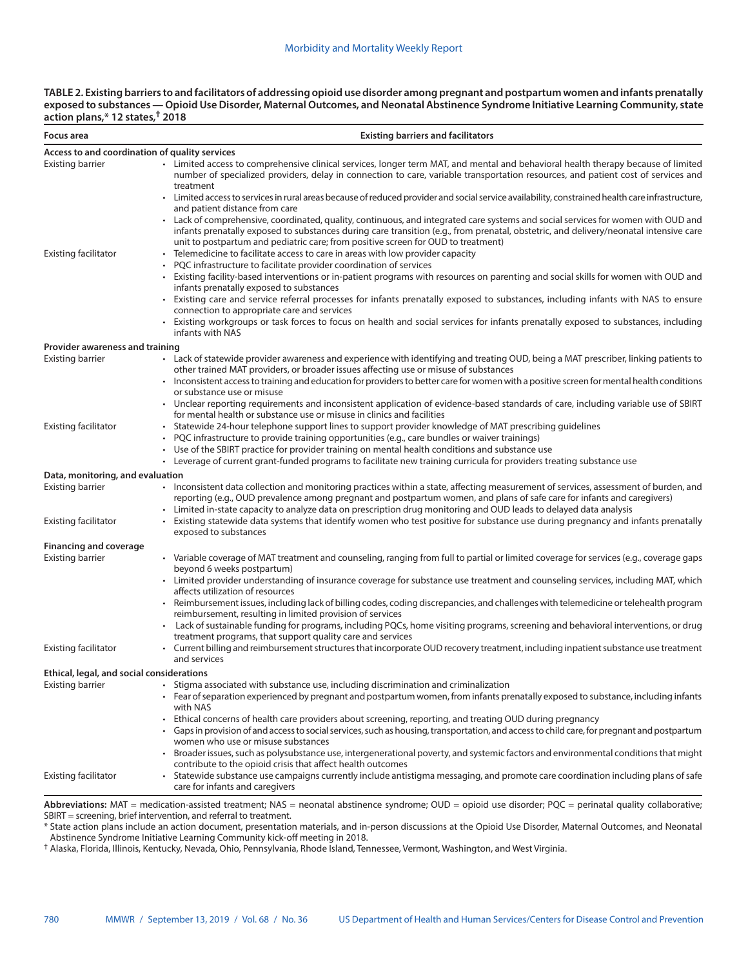| TABLE 2. Existing barriers to and facilitators of addressing opioid use disorder among pregnant and postpartum women and infants prenatally |
|---------------------------------------------------------------------------------------------------------------------------------------------|
| exposed to substances — Opioid Use Disorder, Maternal Outcomes, and Neonatal Abstinence Syndrome Initiative Learning Community, state       |
| action plans,* 12 states,† 2018                                                                                                             |

| Focus area                                          | <b>Existing barriers and facilitators</b>                                                                                                                                                                                                                                                                                                                                                                                                      |
|-----------------------------------------------------|------------------------------------------------------------------------------------------------------------------------------------------------------------------------------------------------------------------------------------------------------------------------------------------------------------------------------------------------------------------------------------------------------------------------------------------------|
| Access to and coordination of quality services      |                                                                                                                                                                                                                                                                                                                                                                                                                                                |
| Existing barrier                                    | • Limited access to comprehensive clinical services, longer term MAT, and mental and behavioral health therapy because of limited<br>number of specialized providers, delay in connection to care, variable transportation resources, and patient cost of services and<br>treatment                                                                                                                                                            |
|                                                     | Limited access to services in rural areas because of reduced provider and social service availability, constrained health care infrastructure,<br>and patient distance from care                                                                                                                                                                                                                                                               |
| <b>Existing facilitator</b>                         | Lack of comprehensive, coordinated, quality, continuous, and integrated care systems and social services for women with OUD and<br>infants prenatally exposed to substances during care transition (e.g., from prenatal, obstetric, and delivery/neonatal intensive care<br>unit to postpartum and pediatric care; from positive screen for OUD to treatment)<br>Telemedicine to facilitate access to care in areas with low provider capacity |
|                                                     | PQC infrastructure to facilitate provider coordination of services                                                                                                                                                                                                                                                                                                                                                                             |
|                                                     | Existing facility-based interventions or in-patient programs with resources on parenting and social skills for women with OUD and<br>infants prenatally exposed to substances                                                                                                                                                                                                                                                                  |
|                                                     | Existing care and service referral processes for infants prenatally exposed to substances, including infants with NAS to ensure<br>connection to appropriate care and services                                                                                                                                                                                                                                                                 |
|                                                     | Existing workgroups or task forces to focus on health and social services for infants prenatally exposed to substances, including<br>infants with NAS                                                                                                                                                                                                                                                                                          |
| Provider awareness and training<br>Existing barrier | • Lack of statewide provider awareness and experience with identifying and treating OUD, being a MAT prescriber, linking patients to                                                                                                                                                                                                                                                                                                           |
|                                                     | other trained MAT providers, or broader issues affecting use or misuse of substances                                                                                                                                                                                                                                                                                                                                                           |
|                                                     | Inconsistent access to training and education for providers to better care for women with a positive screen for mental health conditions<br>or substance use or misuse                                                                                                                                                                                                                                                                         |
|                                                     | • Unclear reporting requirements and inconsistent application of evidence-based standards of care, including variable use of SBIRT<br>for mental health or substance use or misuse in clinics and facilities                                                                                                                                                                                                                                   |
| <b>Existing facilitator</b>                         | Statewide 24-hour telephone support lines to support provider knowledge of MAT prescribing guidelines                                                                                                                                                                                                                                                                                                                                          |
|                                                     | PQC infrastructure to provide training opportunities (e.g., care bundles or waiver trainings)                                                                                                                                                                                                                                                                                                                                                  |
|                                                     | • Use of the SBIRT practice for provider training on mental health conditions and substance use<br>• Leverage of current grant-funded programs to facilitate new training curricula for providers treating substance use                                                                                                                                                                                                                       |
| Data, monitoring, and evaluation                    |                                                                                                                                                                                                                                                                                                                                                                                                                                                |
| <b>Existing barrier</b>                             | • Inconsistent data collection and monitoring practices within a state, affecting measurement of services, assessment of burden, and<br>reporting (e.g., OUD prevalence among pregnant and postpartum women, and plans of safe care for infants and caregivers)                                                                                                                                                                                |
| Existing facilitator                                | • Limited in-state capacity to analyze data on prescription drug monitoring and OUD leads to delayed data analysis<br>Existing statewide data systems that identify women who test positive for substance use during pregnancy and infants prenatally<br>exposed to substances                                                                                                                                                                 |
| <b>Financing and coverage</b>                       |                                                                                                                                                                                                                                                                                                                                                                                                                                                |
| <b>Existing barrier</b>                             | • Variable coverage of MAT treatment and counseling, ranging from full to partial or limited coverage for services (e.g., coverage gaps<br>beyond 6 weeks postpartum)                                                                                                                                                                                                                                                                          |
|                                                     | • Limited provider understanding of insurance coverage for substance use treatment and counseling services, including MAT, which<br>affects utilization of resources                                                                                                                                                                                                                                                                           |
|                                                     | • Reimbursement issues, including lack of billing codes, coding discrepancies, and challenges with telemedicine or telehealth program<br>reimbursement, resulting in limited provision of services                                                                                                                                                                                                                                             |
|                                                     | • Lack of sustainable funding for programs, including PQCs, home visiting programs, screening and behavioral interventions, or drug<br>treatment programs, that support quality care and services                                                                                                                                                                                                                                              |
| <b>Existing facilitator</b>                         | • Current billing and reimbursement structures that incorporate OUD recovery treatment, including inpatient substance use treatment<br>and services                                                                                                                                                                                                                                                                                            |
| Ethical, legal, and social considerations           |                                                                                                                                                                                                                                                                                                                                                                                                                                                |
| Existing barrier                                    | • Stigma associated with substance use, including discrimination and criminalization<br>Fear of separation experienced by pregnant and postpartum women, from infants prenatally exposed to substance, including infants<br>with NAS                                                                                                                                                                                                           |
|                                                     | Ethical concerns of health care providers about screening, reporting, and treating OUD during pregnancy<br>Gaps in provision of and access to social services, such as housing, transportation, and access to child care, for pregnant and postpartum                                                                                                                                                                                          |
|                                                     | women who use or misuse substances<br>Broader issues, such as polysubstance use, intergenerational poverty, and systemic factors and environmental conditions that might                                                                                                                                                                                                                                                                       |
| <b>Existing facilitator</b>                         | contribute to the opioid crisis that affect health outcomes<br>Statewide substance use campaigns currently include antistigma messaging, and promote care coordination including plans of safe<br>care for infants and caregivers                                                                                                                                                                                                              |
|                                                     |                                                                                                                                                                                                                                                                                                                                                                                                                                                |

**Abbreviations:** MAT = medication-assisted treatment; NAS = neonatal abstinence syndrome; OUD = opioid use disorder; PQC = perinatal quality collaborative; SBIRT = screening, brief intervention, and referral to treatment.

\* State action plans include an action document, presentation materials, and in-person discussions at the Opioid Use Disorder, Maternal Outcomes, and Neonatal Abstinence Syndrome Initiative Learning Community kick-off meeting in 2018.

† Alaska, Florida, Illinois, Kentucky, Nevada, Ohio, Pennsylvania, Rhode Island, Tennessee, Vermont, Washington, and West Virginia.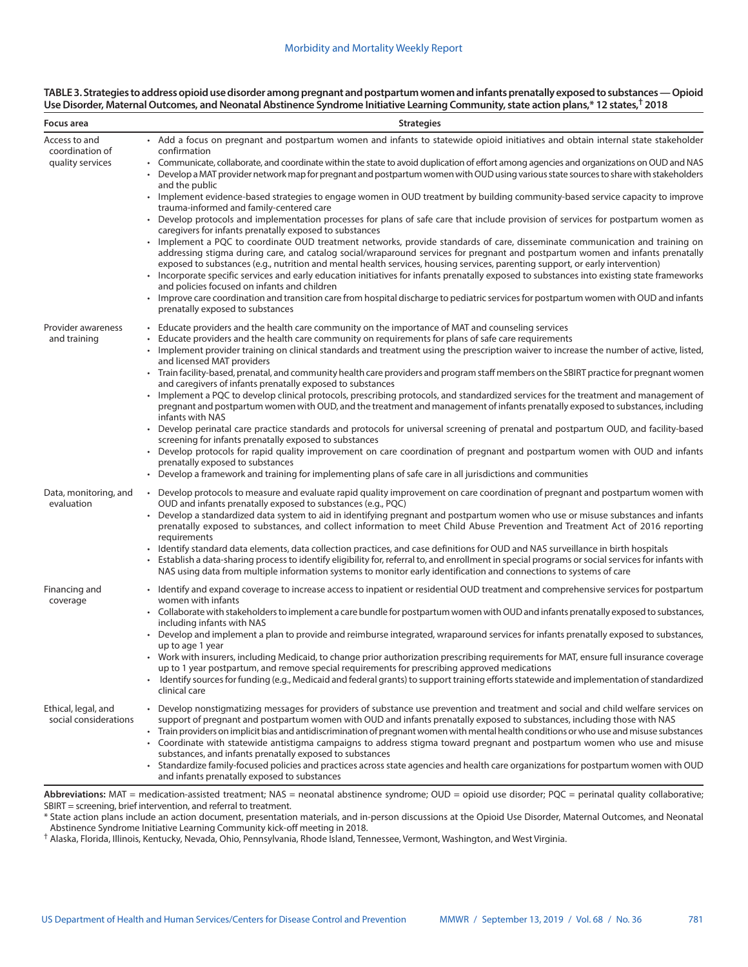### **TABLE 3. Strategies to address opioid use disorder among pregnant and postpartum women and infants prenatally exposed to substances — Opioid Use Disorder, Maternal Outcomes, and Neonatal Abstinence Syndrome Initiative Learning Community, state action plans,\* 12 states,† 2018**

| Focus area                                   | <b>Strategies</b>                                                                                                                                                                                                                                                                                                                                                                                                                                                                                                                                                                                     |
|----------------------------------------------|-------------------------------------------------------------------------------------------------------------------------------------------------------------------------------------------------------------------------------------------------------------------------------------------------------------------------------------------------------------------------------------------------------------------------------------------------------------------------------------------------------------------------------------------------------------------------------------------------------|
| Access to and<br>coordination of             | • Add a focus on pregnant and postpartum women and infants to statewide opioid initiatives and obtain internal state stakeholder<br>confirmation                                                                                                                                                                                                                                                                                                                                                                                                                                                      |
| quality services                             | Communicate, collaborate, and coordinate within the state to avoid duplication of effort among agencies and organizations on OUD and NAS<br>Develop a MAT provider network map for pregnant and postpartum women with OUD using various state sources to share with stakeholders<br>and the public                                                                                                                                                                                                                                                                                                    |
|                                              | • Implement evidence-based strategies to engage women in OUD treatment by building community-based service capacity to improve<br>trauma-informed and family-centered care                                                                                                                                                                                                                                                                                                                                                                                                                            |
|                                              | • Develop protocols and implementation processes for plans of safe care that include provision of services for postpartum women as<br>caregivers for infants prenatally exposed to substances                                                                                                                                                                                                                                                                                                                                                                                                         |
|                                              | • Implement a PQC to coordinate OUD treatment networks, provide standards of care, disseminate communication and training on<br>addressing stigma during care, and catalog social/wraparound services for pregnant and postpartum women and infants prenatally<br>exposed to substances (e.g., nutrition and mental health services, housing services, parenting support, or early intervention)<br>• Incorporate specific services and early education initiatives for infants prenatally exposed to substances into existing state frameworks                                                       |
|                                              | and policies focused on infants and children<br>Improve care coordination and transition care from hospital discharge to pediatric services for postpartum women with OUD and infants<br>prenatally exposed to substances                                                                                                                                                                                                                                                                                                                                                                             |
| Provider awareness                           | • Educate providers and the health care community on the importance of MAT and counseling services                                                                                                                                                                                                                                                                                                                                                                                                                                                                                                    |
| and training                                 | Educate providers and the health care community on requirements for plans of safe care requirements<br>• Implement provider training on clinical standards and treatment using the prescription waiver to increase the number of active, listed,<br>and licensed MAT providers                                                                                                                                                                                                                                                                                                                        |
|                                              | • Train facility-based, prenatal, and community health care providers and program staff members on the SBIRT practice for pregnant women<br>and caregivers of infants prenatally exposed to substances                                                                                                                                                                                                                                                                                                                                                                                                |
|                                              | • Implement a PQC to develop clinical protocols, prescribing protocols, and standardized services for the treatment and management of<br>pregnant and postpartum women with OUD, and the treatment and management of infants prenatally exposed to substances, including<br>infants with NAS                                                                                                                                                                                                                                                                                                          |
|                                              | Develop perinatal care practice standards and protocols for universal screening of prenatal and postpartum OUD, and facility-based<br>screening for infants prenatally exposed to substances                                                                                                                                                                                                                                                                                                                                                                                                          |
|                                              | • Develop protocols for rapid quality improvement on care coordination of pregnant and postpartum women with OUD and infants<br>prenatally exposed to substances                                                                                                                                                                                                                                                                                                                                                                                                                                      |
|                                              | • Develop a framework and training for implementing plans of safe care in all jurisdictions and communities                                                                                                                                                                                                                                                                                                                                                                                                                                                                                           |
| Data, monitoring, and<br>evaluation          | • Develop protocols to measure and evaluate rapid quality improvement on care coordination of pregnant and postpartum women with<br>OUD and infants prenatally exposed to substances (e.g., PQC)<br>Develop a standardized data system to aid in identifying pregnant and postpartum women who use or misuse substances and infants<br>prenatally exposed to substances, and collect information to meet Child Abuse Prevention and Treatment Act of 2016 reporting                                                                                                                                   |
|                                              | requirements<br>• Identify standard data elements, data collection practices, and case definitions for OUD and NAS surveillance in birth hospitals<br>Establish a data-sharing process to identify eligibility for, referral to, and enrollment in special programs or social services for infants with<br>NAS using data from multiple information systems to monitor early identification and connections to systems of care                                                                                                                                                                        |
| Financing and                                | • Identify and expand coverage to increase access to inpatient or residential OUD treatment and comprehensive services for postpartum<br>women with infants                                                                                                                                                                                                                                                                                                                                                                                                                                           |
| coverage                                     | • Collaborate with stakeholders to implement a care bundle for postpartum women with OUD and infants prenatally exposed to substances,<br>including infants with NAS                                                                                                                                                                                                                                                                                                                                                                                                                                  |
|                                              | Develop and implement a plan to provide and reimburse integrated, wraparound services for infants prenatally exposed to substances,<br>up to age 1 year                                                                                                                                                                                                                                                                                                                                                                                                                                               |
|                                              | • Work with insurers, including Medicaid, to change prior authorization prescribing requirements for MAT, ensure full insurance coverage<br>up to 1 year postpartum, and remove special requirements for prescribing approved medications                                                                                                                                                                                                                                                                                                                                                             |
|                                              | Identify sources for funding (e.g., Medicaid and federal grants) to support training efforts statewide and implementation of standardized<br>clinical care                                                                                                                                                                                                                                                                                                                                                                                                                                            |
| Ethical, legal, and<br>social considerations | • Develop nonstigmatizing messages for providers of substance use prevention and treatment and social and child welfare services on<br>support of pregnant and postpartum women with OUD and infants prenatally exposed to substances, including those with NAS<br>• Train providers on implicit bias and antidiscrimination of pregnant women with mental health conditions or who use and misuse substances<br>Coordinate with statewide antistigma campaigns to address stigma toward pregnant and postpartum women who use and misuse<br>substances, and infants prenatally exposed to substances |
|                                              | • Standardize family-focused policies and practices across state agencies and health care organizations for postpartum women with OUD<br>and infants prenatally exposed to substances                                                                                                                                                                                                                                                                                                                                                                                                                 |

**Abbreviations:** MAT = medication-assisted treatment; NAS = neonatal abstinence syndrome; OUD = opioid use disorder; PQC = perinatal quality collaborative; SBIRT = screening, brief intervention, and referral to treatment.

\* State action plans include an action document, presentation materials, and in-person discussions at the Opioid Use Disorder, Maternal Outcomes, and Neonatal Abstinence Syndrome Initiative Learning Community kick-off meeting in 2018.

† Alaska, Florida, Illinois, Kentucky, Nevada, Ohio, Pennsylvania, Rhode Island, Tennessee, Vermont, Washington, and West Virginia.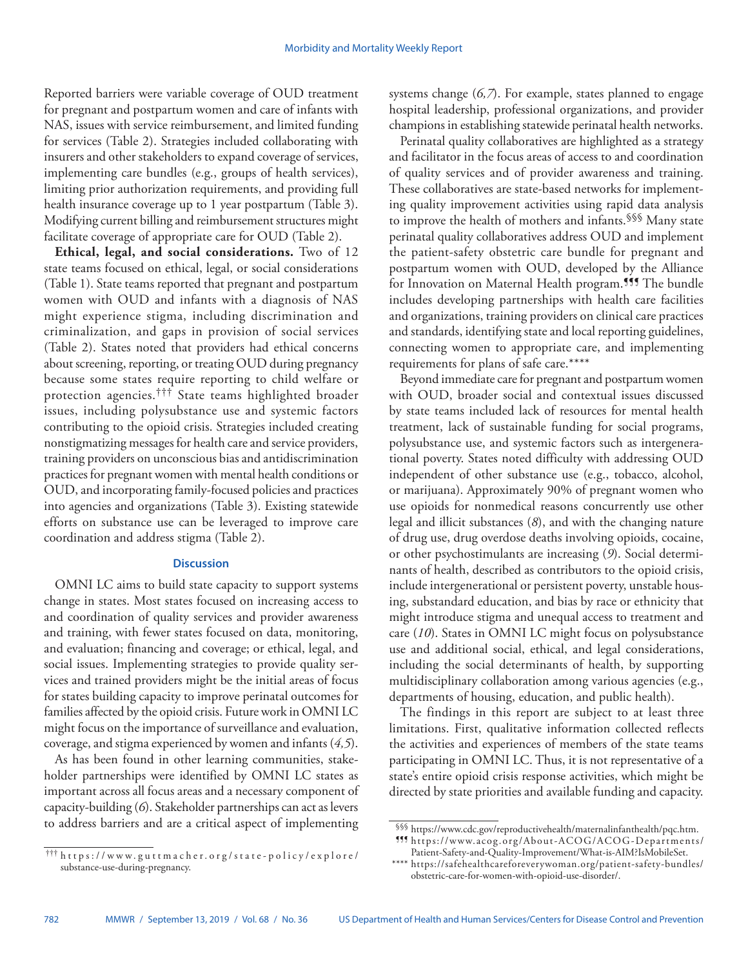Reported barriers were variable coverage of OUD treatment for pregnant and postpartum women and care of infants with NAS, issues with service reimbursement, and limited funding for services (Table 2). Strategies included collaborating with insurers and other stakeholders to expand coverage of services, implementing care bundles (e.g., groups of health services), limiting prior authorization requirements, and providing full health insurance coverage up to 1 year postpartum (Table 3). Modifying current billing and reimbursement structures might facilitate coverage of appropriate care for OUD (Table 2).

**Ethical, legal, and social considerations.** Two of 12 state teams focused on ethical, legal, or social considerations (Table 1). State teams reported that pregnant and postpartum women with OUD and infants with a diagnosis of NAS might experience stigma, including discrimination and criminalization, and gaps in provision of social services (Table 2). States noted that providers had ethical concerns about screening, reporting, or treating OUD during pregnancy because some states require reporting to child welfare or protection agencies.††† State teams highlighted broader issues, including polysubstance use and systemic factors contributing to the opioid crisis. Strategies included creating nonstigmatizing messages for health care and service providers, training providers on unconscious bias and antidiscrimination practices for pregnant women with mental health conditions or OUD, and incorporating family-focused policies and practices into agencies and organizations (Table 3). Existing statewide efforts on substance use can be leveraged to improve care coordination and address stigma (Table 2).

## **Discussion**

OMNI LC aims to build state capacity to support systems change in states. Most states focused on increasing access to and coordination of quality services and provider awareness and training, with fewer states focused on data, monitoring, and evaluation; financing and coverage; or ethical, legal, and social issues. Implementing strategies to provide quality services and trained providers might be the initial areas of focus for states building capacity to improve perinatal outcomes for families affected by the opioid crisis. Future work in OMNI LC might focus on the importance of surveillance and evaluation, coverage, and stigma experienced by women and infants (*4,5*).

As has been found in other learning communities, stakeholder partnerships were identified by OMNI LC states as important across all focus areas and a necessary component of capacity-building (*6*). Stakeholder partnerships can act as levers to address barriers and are a critical aspect of implementing

systems change (*6,7*). For example, states planned to engage hospital leadership, professional organizations, and provider champions in establishing statewide perinatal health networks.

Perinatal quality collaboratives are highlighted as a strategy and facilitator in the focus areas of access to and coordination of quality services and of provider awareness and training. These collaboratives are state-based networks for implementing quality improvement activities using rapid data analysis to improve the health of mothers and infants.§§§ Many state perinatal quality collaboratives address OUD and implement the patient-safety obstetric care bundle for pregnant and postpartum women with OUD, developed by the Alliance for Innovation on Maternal Health program.<sup>999</sup> The bundle includes developing partnerships with health care facilities and organizations, training providers on clinical care practices and standards, identifying state and local reporting guidelines, connecting women to appropriate care, and implementing requirements for plans of safe care.\*\*\*\*

Beyond immediate care for pregnant and postpartum women with OUD, broader social and contextual issues discussed by state teams included lack of resources for mental health treatment, lack of sustainable funding for social programs, polysubstance use, and systemic factors such as intergenerational poverty. States noted difficulty with addressing OUD independent of other substance use (e.g., tobacco, alcohol, or marijuana). Approximately 90% of pregnant women who use opioids for nonmedical reasons concurrently use other legal and illicit substances (*8*), and with the changing nature of drug use, drug overdose deaths involving opioids, cocaine, or other psychostimulants are increasing (*9*). Social determinants of health, described as contributors to the opioid crisis, include intergenerational or persistent poverty, unstable housing, substandard education, and bias by race or ethnicity that might introduce stigma and unequal access to treatment and care (*10*). States in OMNI LC might focus on polysubstance use and additional social, ethical, and legal considerations, including the social determinants of health, by supporting multidisciplinary collaboration among various agencies (e.g., departments of housing, education, and public health).

The findings in this report are subject to at least three limitations. First, qualitative information collected reflects the activities and experiences of members of the state teams participating in OMNI LC. Thus, it is not representative of a state's entire opioid crisis response activities, which might be directed by state priorities and available funding and capacity.

<sup>†††</sup> [https://www.guttmacher.org/state-policy/explore/](https://www.guttmacher.org/state-policy/explore/substance-use-during-pregnancy) [substance-use-during-pregnancy](https://www.guttmacher.org/state-policy/explore/substance-use-during-pregnancy).

<sup>§§§</sup> <https://www.cdc.gov/reproductivehealth/maternalinfanthealth/pqc.htm>. ¶¶¶ [https://www.acog.org/About-ACOG/ACOG-Departments/](https://www.acog.org/About-ACOG/ACOG-Departments/Patient-Safety-and-Quality-Improvement/What-is-AIM?IsMobileSet)

[Patient-Safety-and-Quality-Improvement/What-is-AIM?IsMobileSet](https://www.acog.org/About-ACOG/ACOG-Departments/Patient-Safety-and-Quality-Improvement/What-is-AIM?IsMobileSet). \*\*\*\* [https://safehealthcareforeverywoman.org/patient-safety-bundles/](https://safehealthcareforeverywoman.org/patient-safety-bundles/obstetric-care-for-women-with-opioid-use-disorder/)

[obstetric-care-for-women-with-opioid-use-disorder/](https://safehealthcareforeverywoman.org/patient-safety-bundles/obstetric-care-for-women-with-opioid-use-disorder/).